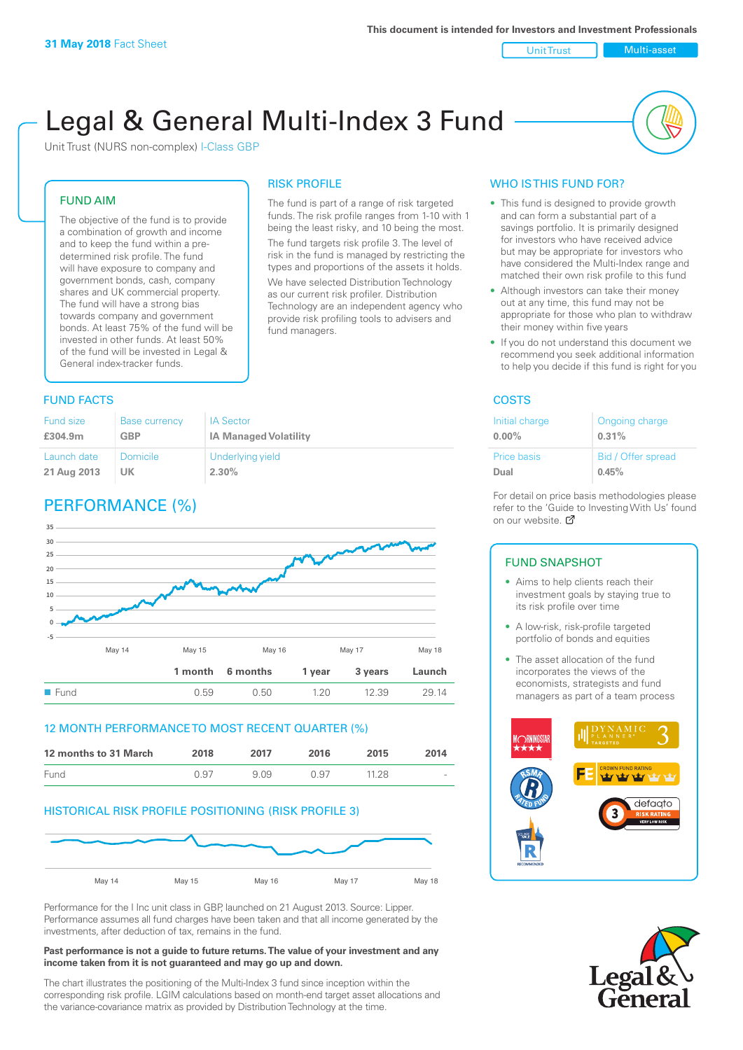Unit Trust Nulti-asset

# Legal & General Multi-Index 3 Fund

RISK PROFILE

fund managers.

The fund is part of a range of risk targeted funds. The risk profile ranges from 1-10 with 1 being the least risky, and 10 being the most. The fund targets risk profile 3. The level of risk in the fund is managed by restricting the types and proportions of the assets it holds. We have selected Distribution Technology as our current risk profiler. Distribution Technology are an independent agency who provide risk profiling tools to advisers and

Unit Trust (NURS non-complex) I-Class GBP

#### FUND AIM

The objective of the fund is to provide a combination of growth and income and to keep the fund within a predetermined risk profile. The fund will have exposure to company and government bonds, cash, company shares and UK commercial property. The fund will have a strong bias towards company and government bonds. At least 75% of the fund will be invested in other funds. At least 50% of the fund will be invested in Legal & General index-tracker funds.

#### **FUND FACTS** COSTS

#### Fund size **£304.9m** Base currency **GBP** IA Sector **IA Managed Volatility** Launch date **21 Aug 2013** Domicile **UK** Underlying yield **2.30%**

## PERFORMANCE (%)



#### 12 MONTH PERFORMANCE TO MOST RECENT QUARTER (%)

| 12 months to 31 March | 2018 | 2017 | 2016 | 2015  | 2014   |
|-----------------------|------|------|------|-------|--------|
| Fund                  | 0.97 | 909  | 0.97 | 11 28 | $\sim$ |

#### HISTORICAL RISK PROFILE POSITIONING (RISK PROFILE 3)



Performance for the I Inc unit class in GBP, launched on 21 August 2013. Source: Lipper. Performance assumes all fund charges have been taken and that all income generated by the investments, after deduction of tax, remains in the fund.

#### **Past performance is not a guide to future returns. The value of your investment and any income taken from it is not guaranteed and may go up and down.**

The chart illustrates the positioning of the Multi-Index 3 fund since inception within the corresponding risk profile. LGIM calculations based on month-end target asset allocations and the variance-covariance matrix as provided by Distribution Technology at the time.

#### WHO IS THIS FUND FOR?

- This fund is designed to provide growth and can form a substantial part of a savings portfolio. It is primarily designed for investors who have received advice but may be appropriate for investors who have considered the Multi-Index range and matched their own risk profile to this fund
- Although investors can take their money out at any time, this fund may not be appropriate for those who plan to withdraw their money within five years
- If you do not understand this document we recommend you seek additional information to help you decide if this fund is right for you

| Initial charge     | Ongoing charge     |
|--------------------|--------------------|
| $0.00\%$           | 0.31%              |
| <b>Price basis</b> | Bid / Offer spread |
| Dual               | 0.45%              |

For detail on price basis methodologies please refer to the 'Guide to Investing With Us' found on our website. *C* 

#### FUND SNAPSHOT

- Aims to help clients reach their investment goals by staying true to its risk profile over time
- A low-risk, risk-profile targeted portfolio of bonds and equities
- The asset allocation of the fund incorporates the views of the economists, strategists and fund managers as part of a team process



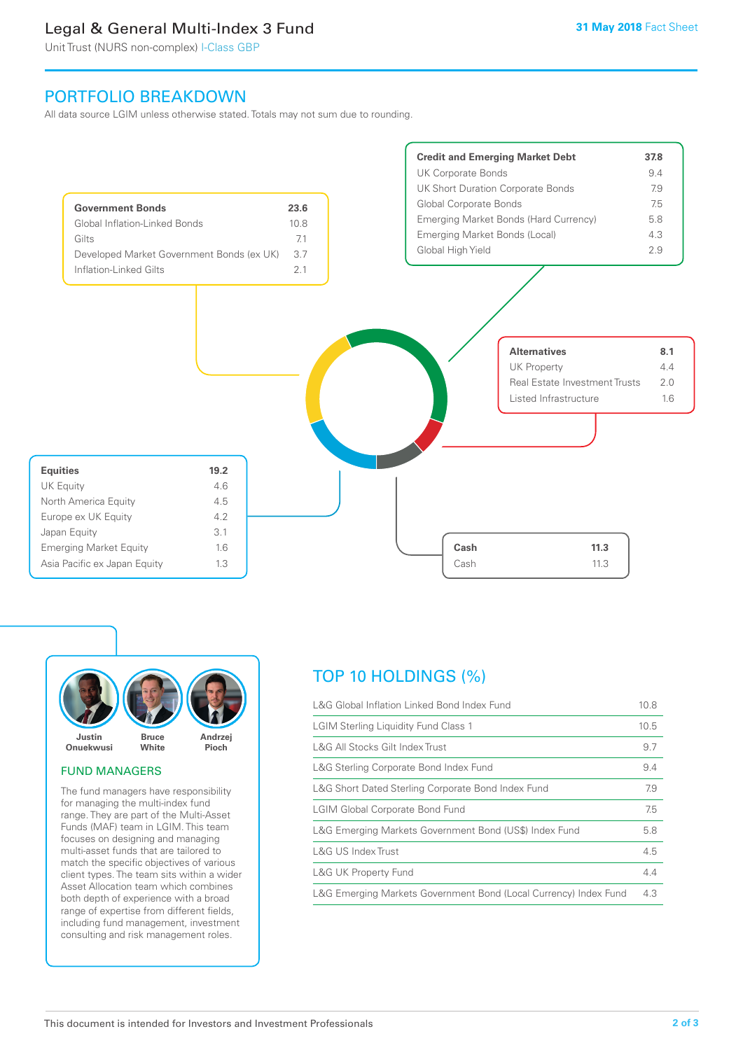### Legal & General Multi-Index 3 Fund

Unit Trust (NURS non-complex) I-Class GBP

### PORTFOLIO BREAKDOWN

All data source LGIM unless otherwise stated. Totals may not sum due to rounding.





#### FUND MANAGERS

The fund managers have responsibility for managing the multi-index fund range. They are part of the Multi-Asset Funds (MAF) team in LGIM. This team focuses on designing and managing multi-asset funds that are tailored to match the specific objectives of various client types. The team sits within a wider Asset Allocation team which combines both depth of experience with a broad range of expertise from different fields, including fund management, investment consulting and risk management roles.

## TOP 10 HOLDINGS (%)

| L&G Global Inflation Linked Bond Index Fund                      | 10.8 |
|------------------------------------------------------------------|------|
| <b>LGIM Sterling Liquidity Fund Class 1</b>                      | 10.5 |
| L&G All Stocks Gilt Index Trust                                  | 9.7  |
| L&G Sterling Corporate Bond Index Fund                           | 9.4  |
| L&G Short Dated Sterling Corporate Bond Index Fund               | 7.9  |
| <b>LGIM Global Corporate Bond Fund</b>                           | 7.5  |
| L&G Emerging Markets Government Bond (US\$) Index Fund           | 5.8  |
| L&G US Index Trust                                               | 4.5  |
| <b>L&amp;G UK Property Fund</b>                                  | 4.4  |
| L&G Emerging Markets Government Bond (Local Currency) Index Fund | 4.3  |